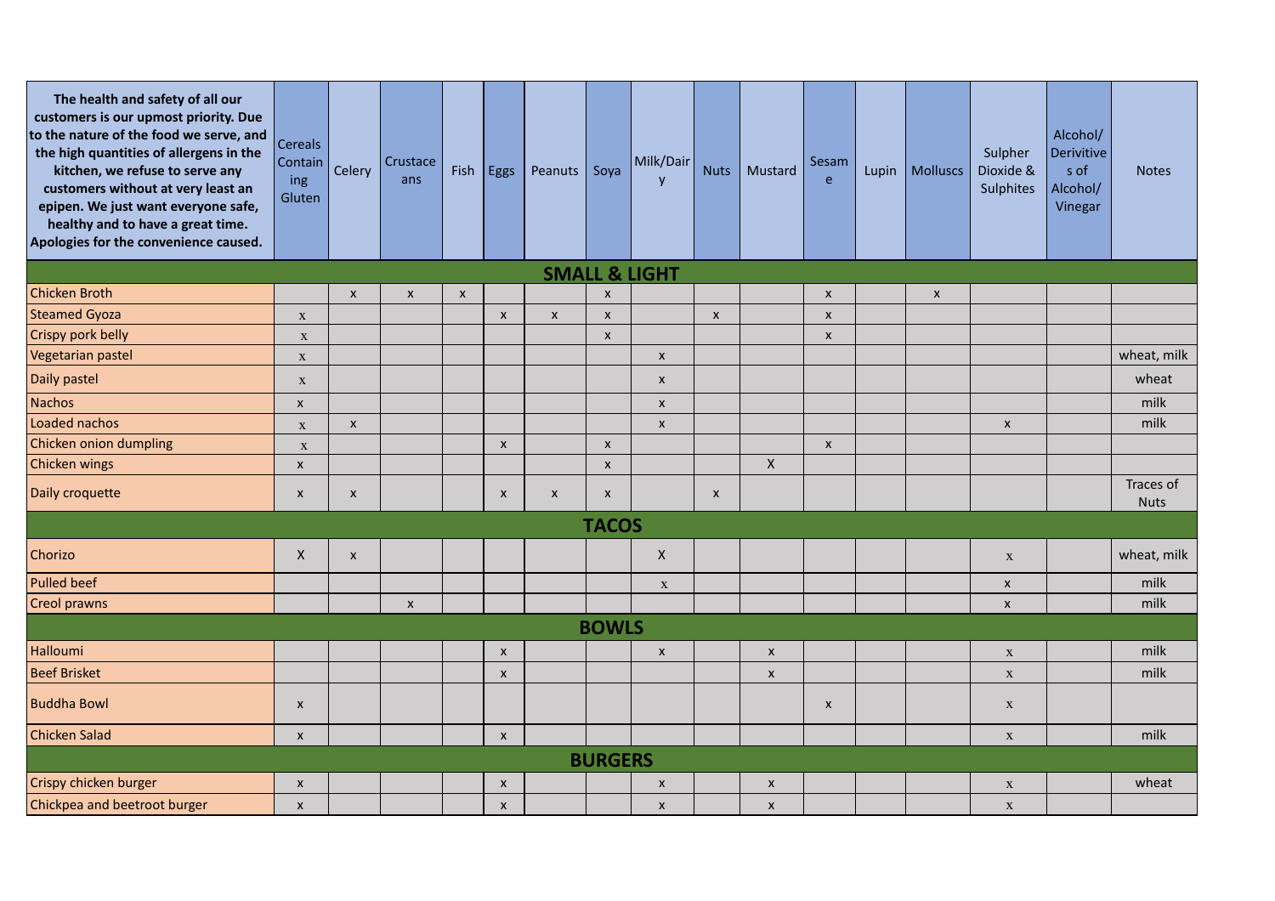| The health and safety of all our<br>customers is our upmost priority. Due<br>to the nature of the food we serve, and<br>the high quantities of allergens in the<br>kitchen, we refuse to serve any<br>customers without at very least an<br>epipen. We just want everyone safe,<br>healthy and to have a great time.<br>Apologies for the convenience caused. | <b>Cereals</b><br>Contain<br>ing<br>Gluten | Celery                    | Crustace<br>ans | Fish               | Eggs                      | Peanuts      | Soya               | Milk/Dair<br>y     | <b>Nuts</b>        | Mustard            | Sesam<br>e                | Lupin | <b>Molluscs</b> | Sulpher<br>Dioxide &<br><b>Sulphites</b> | Alcohol/<br>Derivitive<br>s of<br>Alcohol/<br>Vinegar | <b>Notes</b>             |
|---------------------------------------------------------------------------------------------------------------------------------------------------------------------------------------------------------------------------------------------------------------------------------------------------------------------------------------------------------------|--------------------------------------------|---------------------------|-----------------|--------------------|---------------------------|--------------|--------------------|--------------------|--------------------|--------------------|---------------------------|-------|-----------------|------------------------------------------|-------------------------------------------------------|--------------------------|
| <b>SMALL &amp; LIGHT</b>                                                                                                                                                                                                                                                                                                                                      |                                            |                           |                 |                    |                           |              |                    |                    |                    |                    |                           |       |                 |                                          |                                                       |                          |
| <b>Chicken Broth</b>                                                                                                                                                                                                                                                                                                                                          |                                            | $\boldsymbol{\mathsf{x}}$ | $\pmb{\chi}$    | $\pmb{\mathsf{X}}$ |                           |              | $\mathsf{x}$       |                    |                    |                    | $\pmb{\chi}$              |       | $\pmb{\times}$  |                                          |                                                       |                          |
| <b>Steamed Gyoza</b>                                                                                                                                                                                                                                                                                                                                          | $\mathbf X$                                |                           |                 |                    | $\boldsymbol{\mathsf{x}}$ | $\pmb{\chi}$ | $\pmb{\times}$     |                    | $\pmb{\mathsf{X}}$ |                    | $\pmb{\chi}$              |       |                 |                                          |                                                       |                          |
| Crispy pork belly                                                                                                                                                                                                                                                                                                                                             | $\mathbf X$                                |                           |                 |                    |                           |              | $\pmb{\times}$     |                    |                    |                    | $\boldsymbol{\mathsf{x}}$ |       |                 |                                          |                                                       |                          |
| Vegetarian pastel                                                                                                                                                                                                                                                                                                                                             | $\mathbf X$                                |                           |                 |                    |                           |              |                    | $\pmb{\mathsf{x}}$ |                    |                    |                           |       |                 |                                          |                                                       | wheat, milk              |
| Daily pastel                                                                                                                                                                                                                                                                                                                                                  | $\mathbf X$                                |                           |                 |                    |                           |              |                    | $\pmb{\mathsf{x}}$ |                    |                    |                           |       |                 |                                          |                                                       | wheat                    |
| Nachos                                                                                                                                                                                                                                                                                                                                                        | X                                          |                           |                 |                    |                           |              |                    | $\pmb{\mathsf{x}}$ |                    |                    |                           |       |                 |                                          |                                                       | milk                     |
| Loaded nachos                                                                                                                                                                                                                                                                                                                                                 | $\mathbf X$                                | $\pmb{\times}$            |                 |                    |                           |              |                    | $\pmb{\mathsf{X}}$ |                    |                    |                           |       |                 | $\pmb{\times}$                           |                                                       | milk                     |
| Chicken onion dumpling                                                                                                                                                                                                                                                                                                                                        | $\boldsymbol{\mathrm{X}}$                  |                           |                 |                    | $\mathsf{x}$              |              | $\pmb{\times}$     |                    |                    |                    | $\pmb{\chi}$              |       |                 |                                          |                                                       |                          |
| <b>Chicken wings</b>                                                                                                                                                                                                                                                                                                                                          | $\pmb{\mathsf{X}}$                         |                           |                 |                    |                           |              | $\pmb{\times}$     |                    |                    | $\mathsf{X}$       |                           |       |                 |                                          |                                                       |                          |
| Daily croquette                                                                                                                                                                                                                                                                                                                                               | $\boldsymbol{\mathsf{x}}$                  | X                         |                 |                    | $\pmb{\mathsf{X}}$        | $\pmb{\chi}$ | $\pmb{\mathsf{X}}$ |                    | $\boldsymbol{x}$   |                    |                           |       |                 |                                          |                                                       | Traces of<br><b>Nuts</b> |
| <b>TACOS</b>                                                                                                                                                                                                                                                                                                                                                  |                                            |                           |                 |                    |                           |              |                    |                    |                    |                    |                           |       |                 |                                          |                                                       |                          |
| Chorizo                                                                                                                                                                                                                                                                                                                                                       | X                                          | $\pmb{\times}$            |                 |                    |                           |              |                    | $\pmb{\times}$     |                    |                    |                           |       |                 | $\mathbf X$                              |                                                       | wheat, milk              |
| <b>Pulled beef</b>                                                                                                                                                                                                                                                                                                                                            |                                            |                           |                 |                    |                           |              |                    | $\mathbf X$        |                    |                    |                           |       |                 | $\pmb{\times}$                           |                                                       | milk                     |
| <b>Creol prawns</b>                                                                                                                                                                                                                                                                                                                                           |                                            |                           | $\pmb{\chi}$    |                    |                           |              |                    |                    |                    |                    |                           |       |                 | $\pmb{\times}$                           |                                                       | milk                     |
| <b>BOWLS</b>                                                                                                                                                                                                                                                                                                                                                  |                                            |                           |                 |                    |                           |              |                    |                    |                    |                    |                           |       |                 |                                          |                                                       |                          |
| Halloumi                                                                                                                                                                                                                                                                                                                                                      |                                            |                           |                 |                    | $\mathsf{x}$              |              |                    | $\pmb{\times}$     |                    | $\pmb{\mathsf{x}}$ |                           |       |                 | $\mathbf X$                              |                                                       | milk                     |
| <b>Beef Brisket</b>                                                                                                                                                                                                                                                                                                                                           |                                            |                           |                 |                    | $\boldsymbol{\mathsf{x}}$ |              |                    |                    |                    | $\pmb{\mathsf{X}}$ |                           |       |                 | $\mathbf X$                              |                                                       | milk                     |
| <b>Buddha Bowl</b>                                                                                                                                                                                                                                                                                                                                            | $\pmb{\mathsf{X}}$                         |                           |                 |                    |                           |              |                    |                    |                    |                    | X                         |       |                 | $\mathbf{X}$                             |                                                       |                          |
| <b>Chicken Salad</b>                                                                                                                                                                                                                                                                                                                                          | $\pmb{\times}$                             |                           |                 |                    | $\mathsf{x}$              |              |                    |                    |                    |                    |                           |       |                 | $\mathbf X$                              |                                                       | milk                     |
|                                                                                                                                                                                                                                                                                                                                                               |                                            |                           |                 |                    |                           |              | <b>BURGERS</b>     |                    |                    |                    |                           |       |                 |                                          |                                                       |                          |
| Crispy chicken burger                                                                                                                                                                                                                                                                                                                                         | $\pmb{\mathsf{X}}$                         |                           |                 |                    | $\boldsymbol{x}$          |              |                    | $\pmb{\times}$     |                    | $\pmb{\mathsf{X}}$ |                           |       |                 | $\mathbf X$                              |                                                       | wheat                    |
| Chickpea and beetroot burger                                                                                                                                                                                                                                                                                                                                  | $\pmb{\mathsf{X}}$                         |                           |                 |                    | $\mathsf{x}$              |              |                    | $\pmb{\times}$     |                    | $\pmb{\mathsf{x}}$ |                           |       |                 | $\mathbf X$                              |                                                       |                          |